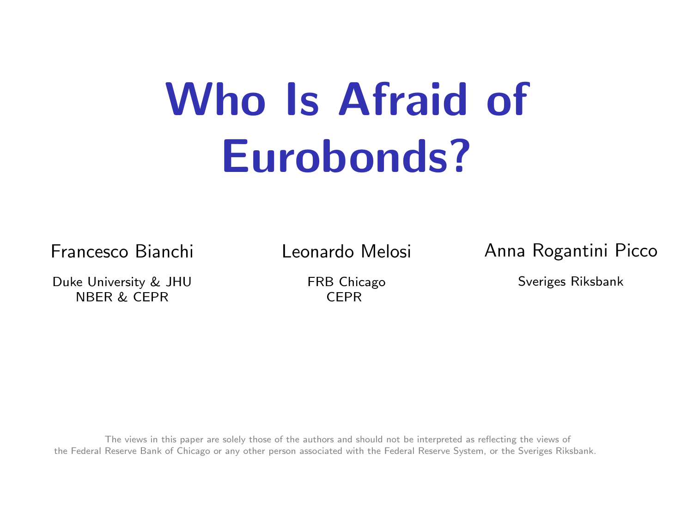# <span id="page-0-0"></span>Who Is Afraid of Eurobonds?

Francesco Bianchi

Duke University & JHU NBER & CEPR

Leonardo Melosi

FRB Chicago CEPR

Anna Rogantini Picco

Sveriges Riksbank

The views in this paper are solely those of the authors and should not be interpreted as reflecting the views of the Federal Reserve Bank of Chicago or any other person associated with the Federal Reserve System, or the Sveriges Riksbank.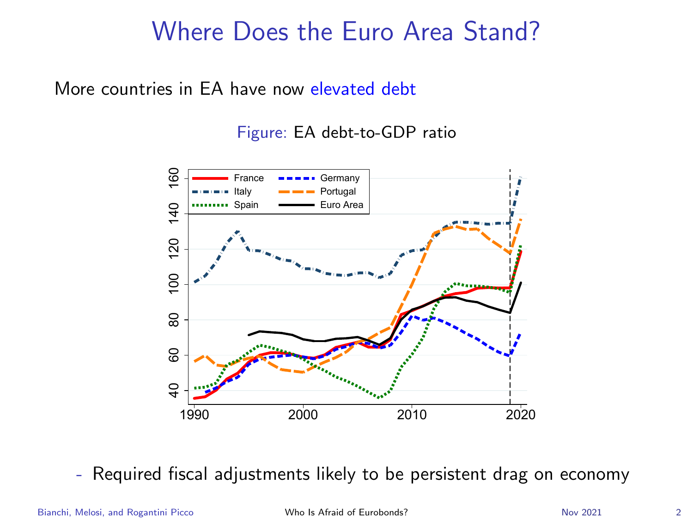#### Where Does the Euro Area Stand?

More countries in EA have now elevated debt

Figure: EA debt-to-GDP ratio



- Required fiscal adjustments likely to be persistent drag on economy

Bianchi, Melosi, and Rogantini Picco **November 2018** [Who Is Afraid of Eurobonds?](#page-0-0) Nov 2021 2021 2021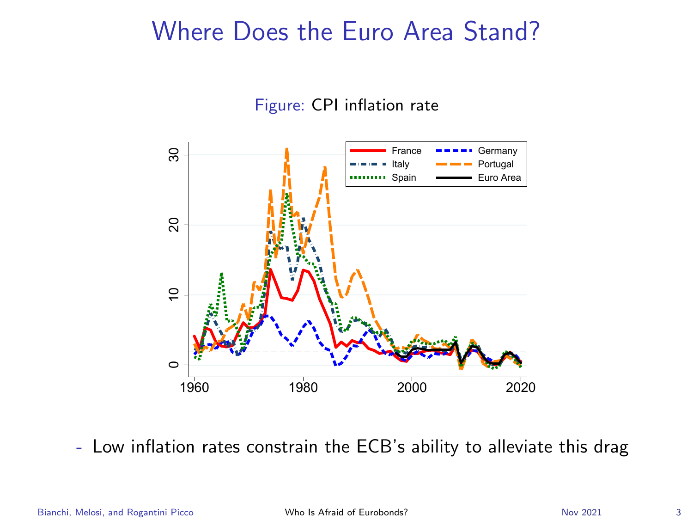#### Where Does the Euro Area Stand?

Figure: CPI inflation rate



- Low inflation rates constrain the ECB's ability to alleviate this drag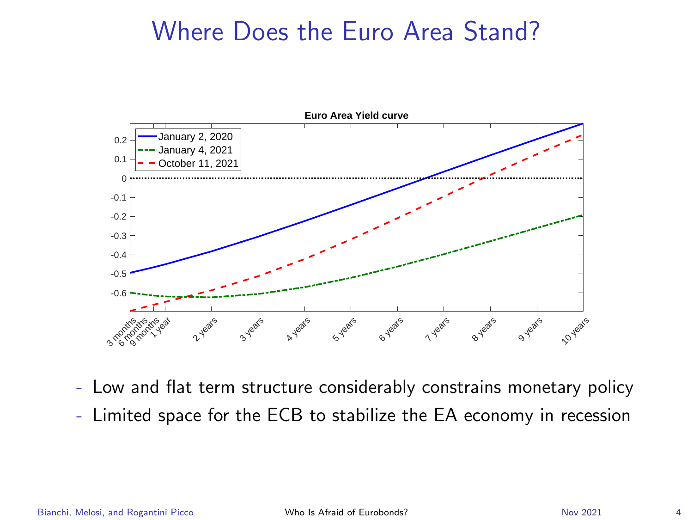#### Where Does the Euro Area Stand?



- Low and flat term structure considerably constrains monetary policy
- Limited space for the ECB to stabilize the EA economy in recession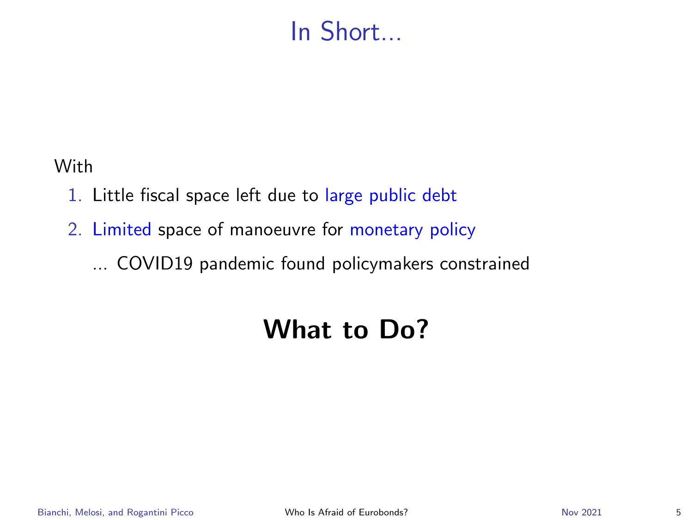## In Short...

With

- 1. Little fiscal space left due to large public debt
- 2. Limited space of manoeuvre for monetary policy

... COVID19 pandemic found policymakers constrained

# What to Do?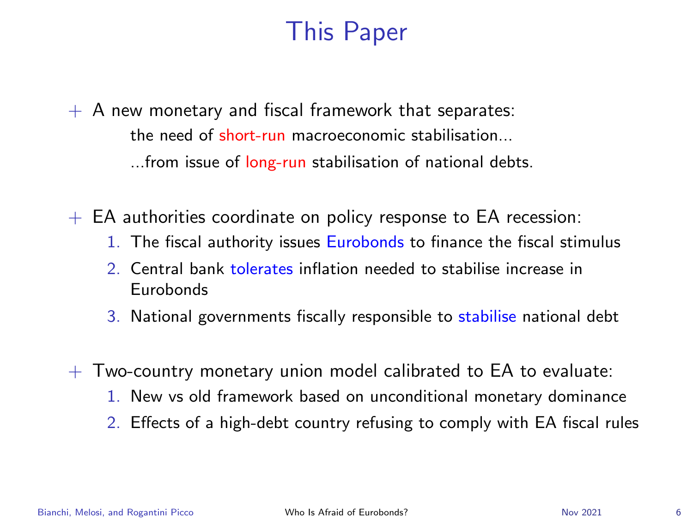# This Paper

<span id="page-5-0"></span> $+$  A new monetary and fiscal framework that separates: the need of short-run macroeconomic stabilisation... ...from issue of long-run stabilisation of national debts.

 $+$  EA authorities coordinate on policy response to EA recession:

- 1. The fiscal authority issues **Eurobonds** to finance the fiscal stimulus
- 2. Central bank tolerates inflation needed to stabilise increase in Eurobonds
- 3. National governments fiscally responsible to stabilise national debt
- $+$  Two-country monetary union model calibrated to EA to evaluate:
	- 1. New vs old framework based on unconditional monetary dominance
	- 2. Effects of a high-debt country refusing to comply with EA fiscal rules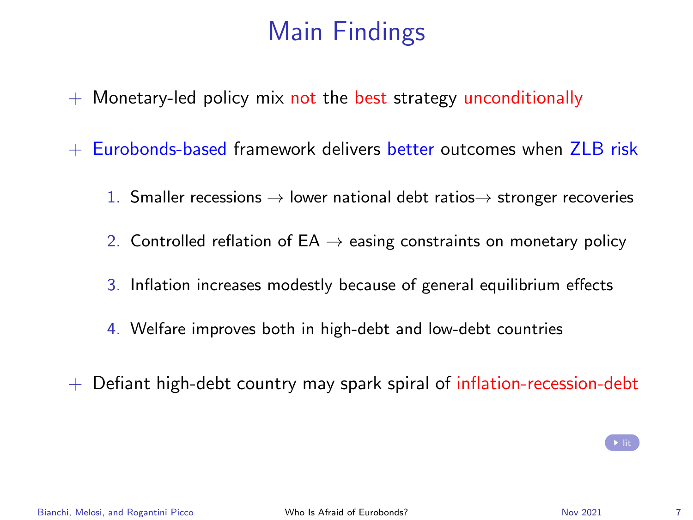# Main Findings

- $+$  Monetary-led policy mix not the best strategy unconditionally
- $+$  Eurobonds-based framework delivers better outcomes when  $ZIR$  risk
	- 1. Smaller recessions  $\rightarrow$  lower national debt ratios $\rightarrow$  stronger recoveries
	- 2. Controlled reflation of  $EA \rightarrow easing$  constraints on monetary policy
	- 3. Inflation increases modestly because of general equilibrium effects
	- 4. Welfare improves both in high-debt and low-debt countries
- $+$  Defiant high-debt country may spark spiral of inflation-recession-debt

 $\rightarrow$  [lit](#page-30-0)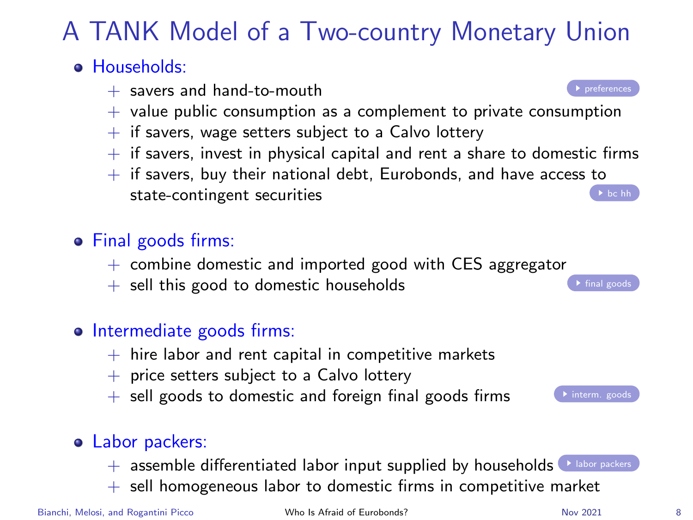# A TANK Model of a Two-country Monetary Union

#### <span id="page-7-0"></span>**• Households:**

- $+$  savers and hand-to-mouth [preferences](#page-34-0)
- $+$  value public consumption as a complement to private consumption
- $+$  if savers, wage setters subject to a Calvo lottery
- $+$  if savers, invest in physical capital and rent a share to domestic firms
- $+$  if savers, buy their national debt, Eurobonds, and have access to state-contingent securities  $\bullet$  [bc hh](#page-35-0)

#### • Final goods firms:

- $+$  combine domestic and imported good with CES aggregator
- $+$  sell this good to domestic households

#### o Intermediate goods firms:

- $+$  hire labor and rent capital in competitive markets
- $+$  price setters subject to a Calvo lottery
- $+$  sell goods to domestic and foreign final goods firms

#### Labor packers:

- $+$  assemble differentiated labor input supplied by households  $\blacklozenge$  [labor packers](#page-33-0)
- $+$  sell homogeneous labor to domestic firms in competitive market





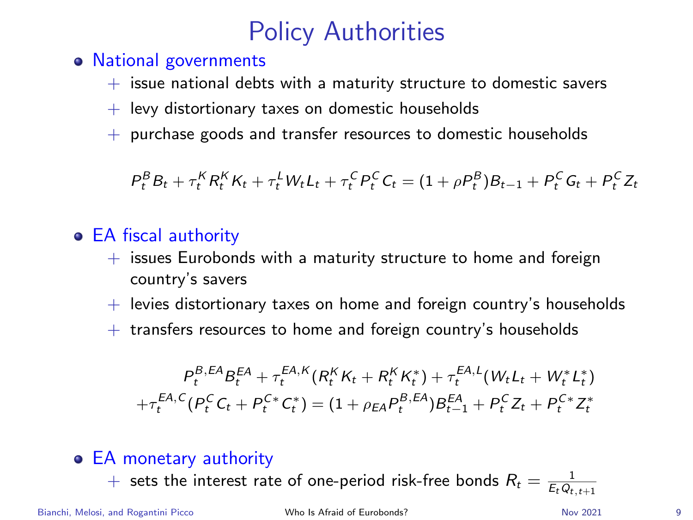# Policy Authorities

- National governments
	- $+$  issue national debts with a maturity structure to domestic savers
	- $+$  levy distortionary taxes on domestic households
	- + purchase goods and transfer resources to domestic households

 $P_t^B B_t + \tau_t^K R_t^K K_t + \tau_t^L W_t L_t + \tau_t^C P_t^C C_t = (1 + \rho P_t^B) B_{t-1} + P_t^C G_t + P_t^C Z_t$ 

#### EA fiscal authority

- $+$  issues Eurobonds with a maturity structure to home and foreign country's savers
- $+$  levies distortionary taxes on home and foreign country's households
- $+$  transfers resources to home and foreign country's households

$$
P_t^{B,EA}B_t^{EA} + \tau_t^{EA, K}(R_t^K K_t + R_t^K K_t^*) + \tau_t^{EA, L}(W_t L_t + W_t^* L_t^*)
$$
  
+
$$
\tau_t^{EA, C}(P_t^C C_t + P_t^{C*} C_t^*) = (1 + \rho_{EA} P_t^{B,EA})B_{t-1}^{EA} + P_t^C Z_t + P_t^{C*} Z_t^*
$$

- EA monetary authority
	- $+$  sets the interest rate of one-period risk-free bonds  $R_t = \frac{1}{E_tQ_{t,t+1}}$

Bianchi, Melosi, and Rogantini Picco November 2001 [Who Is Afraid of Eurobonds?](#page-0-0) Nov 2021 99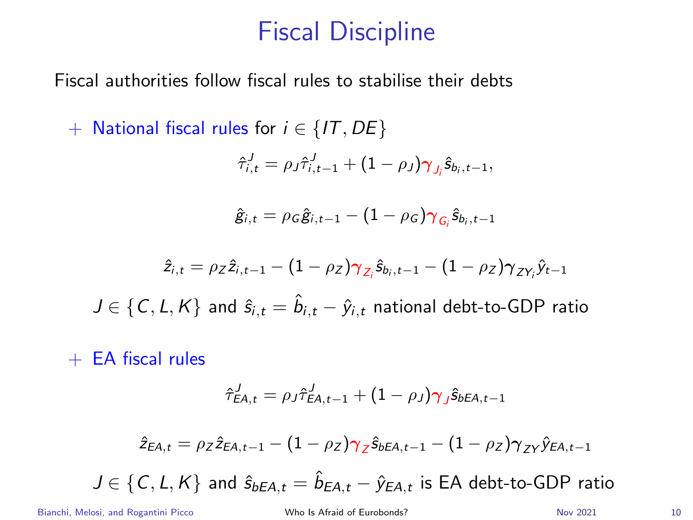#### Fiscal Discipline

Fiscal authorities follow fiscal rules to stabilise their debts

+ National fiscal rules for  $i \in \{IT, DE\}$ 

$$
\hat{\tau}_{i,t}^J = \rho_J \hat{\tau}_{i,t-1}^J + (1 - \rho_J) \gamma_{J_i} \hat{s}_{b_i,t-1},
$$

$$
\hat{g}_{i,t} = \rho_G \hat{g}_{i,t-1} - (1 - \rho_G) \gamma_{G_i} \hat{s}_{b_i,t-1}
$$

$$
\hat{z}_{i,t} = \rho_Z \hat{z}_{i,t-1} - (1 - \rho_Z) \gamma_{Z_i} \hat{s}_{b_i,t-1} - (1 - \rho_Z) \gamma_{ZY_i} \hat{y}_{t-1}
$$

 $J \in \{\mathcal{C}, \mathcal{L}, \mathcal{K}\}$  and  $\hat{s}_{i,t} = \hat{b}_{i,t} - \hat{y}_{i,t}$  national debt-to-GDP ratio

 $+$  EA fiscal rules

$$
\hat{\tau}_{\text{EA},t}^J = \rho_J \hat{\tau}_{\text{EA},t-1}^J + (1 - \rho_J) \gamma_J \hat{s}_{\text{bEA},t-1}
$$

$$
\hat{z}_{\text{EA},t} = \rho_Z \hat{z}_{\text{EA},t-1} - (1-\rho_Z) \gamma_Z \hat{s}_{b\text{EA},t-1} - (1-\rho_Z) \gamma_{ZY} \hat{y}_{\text{EA},t-1}
$$

$$
J \in \{C, L, K\} \text{ and } \hat{s}_{bEA, t} = \hat{b}_{EA, t} - \hat{y}_{EA, t} \text{ is EA debt-to-GDP ratio}
$$

Bianchi, Melosi, and Rogantini Picco **[Who Is Afraid of Eurobonds?](#page-0-0)** Nov 2021 10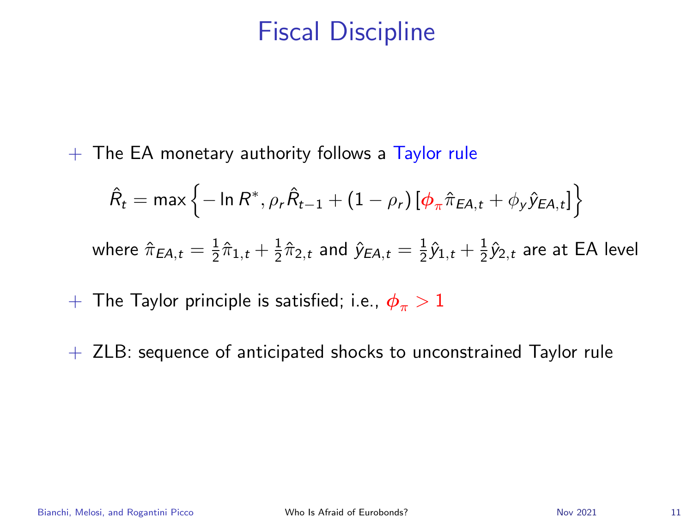#### Fiscal Discipline

 $+$  The EA monetary authority follows a Taylor rule

$$
\hat{R}_t = \max \left\{ -\ln R^*, \rho_r \hat{R}_{t-1} + (1 - \rho_r) \left[ \phi_\pi \hat{\pi}_{EA, t} + \phi_y \hat{y}_{EA, t} \right] \right\}
$$
  
where  $\hat{\pi}_{EA, t} = \frac{1}{2} \hat{\pi}_{1, t} + \frac{1}{2} \hat{\pi}_{2, t}$  and  $\hat{y}_{EA, t} = \frac{1}{2} \hat{y}_{1, t} + \frac{1}{2} \hat{y}_{2, t}$  are at EA level

+ The Taylor principle is satisfied; i.e.,  $\phi_{\pi} > 1$ 

 $+$  ZLB: sequence of anticipated shocks to unconstrained Taylor rule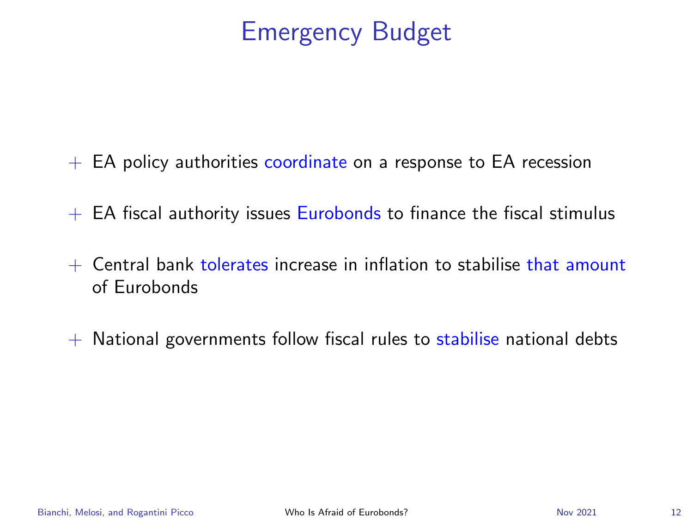- $+$  EA policy authorities coordinate on a response to EA recession
- $+$  EA fiscal authority issues Eurobonds to finance the fiscal stimulus
- $+$  Central bank tolerates increase in inflation to stabilise that amount of Eurobonds
- $+$  National governments follow fiscal rules to stabilise national debts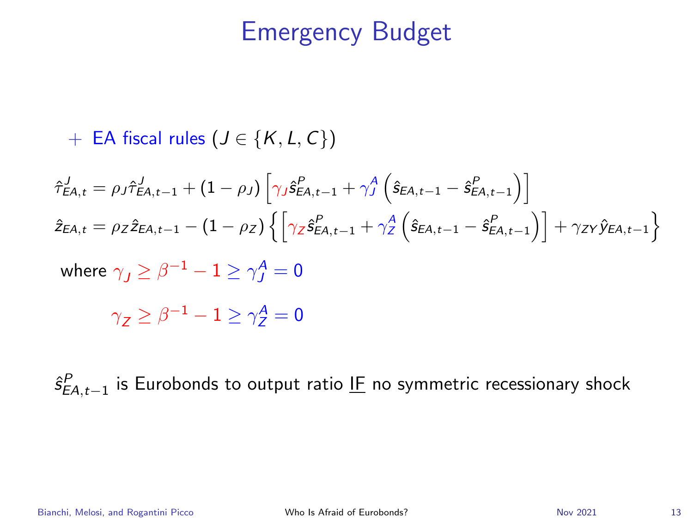+ EA fiscal rules ( $J \in \{K, L, C\}$ )

$$
\hat{\tau}_{EA,t}^{J} = \rho_{J} \hat{\tau}_{EA,t-1}^{J} + (1 - \rho_{J}) \left[ \gamma_{J} \hat{s}_{EA,t-1}^{P} + \gamma_{J}^{A} \left( \hat{s}_{EA,t-1} - \hat{s}_{EA,t-1}^{P} \right) \right]
$$
\n
$$
\hat{z}_{EA,t} = \rho_{Z} \hat{z}_{EA,t-1} - (1 - \rho_{Z}) \left\{ \left[ \gamma_{Z} \hat{s}_{EA,t-1}^{P} + \gamma_{Z}^{A} \left( \hat{s}_{EA,t-1} - \hat{s}_{EA,t-1}^{P} \right) \right] + \gamma_{ZY} \hat{y}_{EA,t-1} \right\}
$$

where  $\gamma_J\geq \beta^{-1}-1\geq \gamma^{\mathcal{A}}_J=0$ 

 $\gamma_{\mathcal{Z}} \geq \beta^{-1} - 1 \geq \gamma_{\mathcal{Z}}^{\mathcal{A}} = 0$ 

 $\hat{s}^P_{EA,t-1}$  is Eurobonds to output ratio l<u>F</u> no symmetric recessionary shock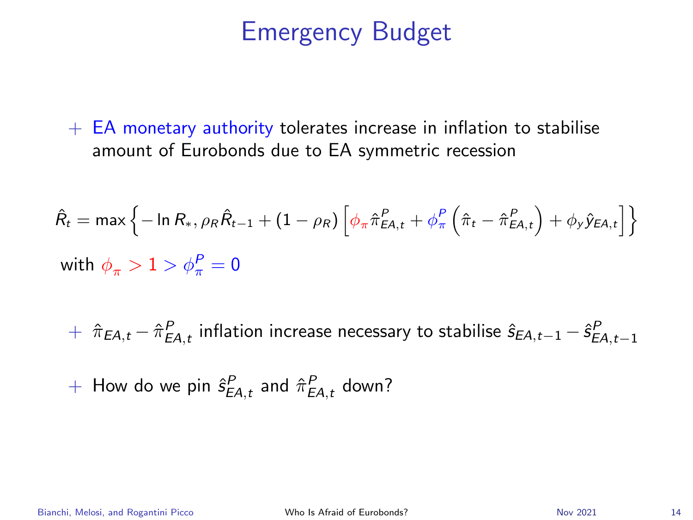$+$  EA monetary authority tolerates increase in inflation to stabilise amount of Eurobonds due to EA symmetric recession

$$
\hat{R}_t = \max \left\{ -\ln R_*, \rho_R \hat{R}_{t-1} + (1 - \rho_R) \left[ \phi_\pi \hat{\pi}_{EA,t}^P + \phi_\pi^P \left( \hat{\pi}_t - \hat{\pi}_{EA,t}^P \right) + \phi_y \hat{y}_{EA,t} \right] \right\}
$$
\nwith  $\phi_\pi > 1 > \phi_\pi^P = 0$ 

 $+ \;\; \hat{\pi}_{EA,t} - \hat{\pi}_{EA,t}^P$  inflation increase necessary to stabilise  $\hat{s}_{EA,t-1} - \hat{s}_{EA,t-1}^P$ 

 $+$  How do we pin  $\hat{s}^P_{EA,t}$  and  $\hat{\pi}^P_{EA,t}$  down?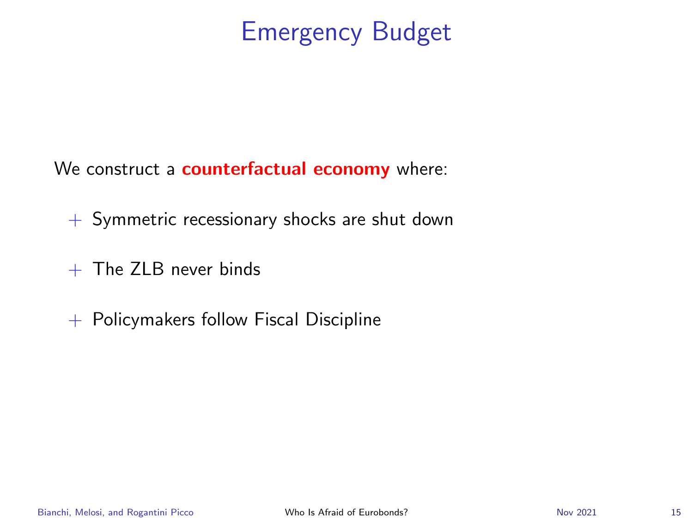We construct a **counterfactual economy** where:

 $+$  Symmetric recessionary shocks are shut down

- $+$  The 7LB never binds
- $+$  Policymakers follow Fiscal Discipline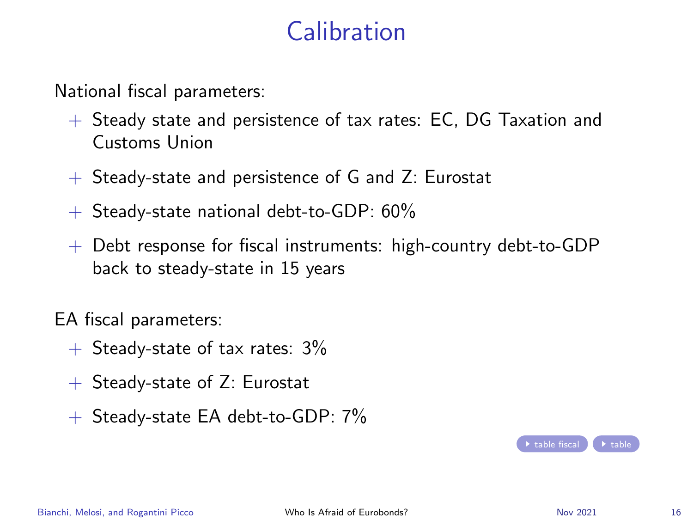# Calibration

<span id="page-15-0"></span>National fiscal parameters:

- + Steady state and persistence of tax rates: EC, DG Taxation and Customs Union
- $+$  Steady-state and persistence of G and Z: Eurostat
- $+$  Steady-state national debt-to-GDP: 60%
- $+$  Debt response for fiscal instruments: high-country debt-to-GDP back to steady-state in 15 years

EA fiscal parameters:

- $+$  Steady-state of tax rates:  $3\%$
- + Steady-state of Z: Eurostat
- $+$  Steady-state EA debt-to-GDP: 7%

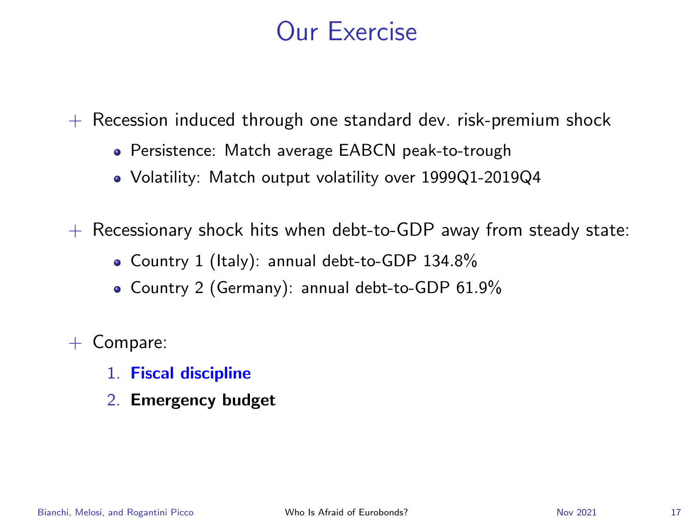## Our Exercise

 $+$  Recession induced through one standard dev. risk-premium shock

- Persistence: Match average EABCN peak-to-trough
- Volatility: Match output volatility over 1999Q1-2019Q4

 $+$  Recessionary shock hits when debt-to-GDP away from steady state:

- Country 1 (Italy): annual debt-to-GDP 134.8%
- Country 2 (Germany): annual debt-to-GDP 61.9%

+ Compare:

- 1. Fiscal discipline
- 2. Emergency budget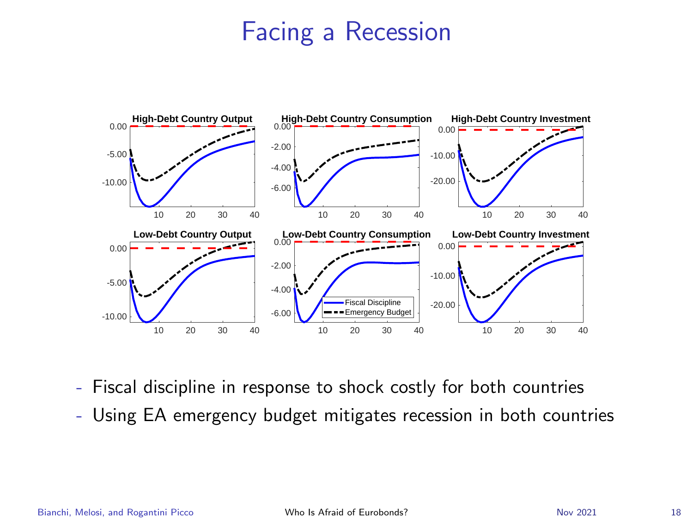

- Fiscal discipline in response to shock costly for both countries
- Using EA emergency budget mitigates recession in both countries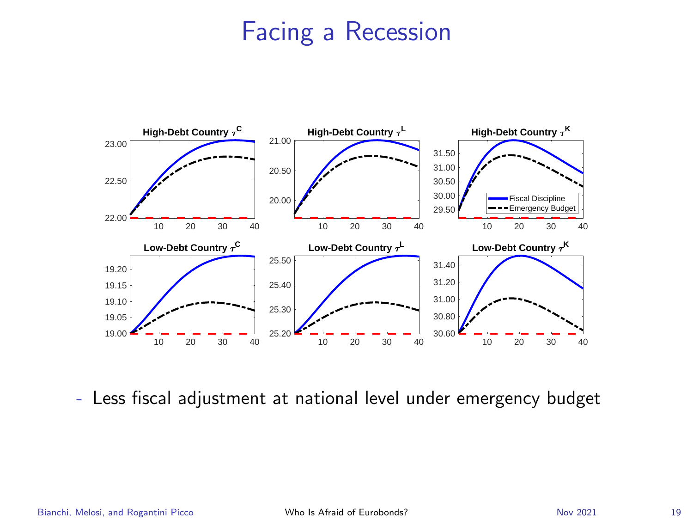

- Less fiscal adjustment at national level under emergency budget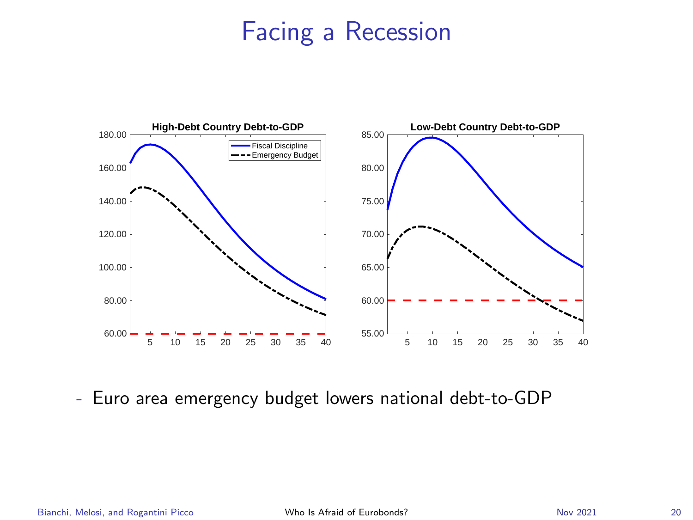

- Euro area emergency budget lowers national debt-to-GDP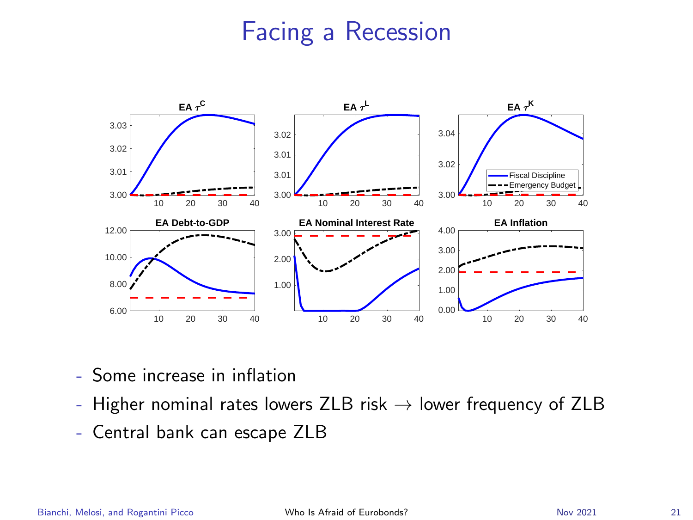

- Some increase in inflation
- Higher nominal rates lowers ZLB risk  $\rightarrow$  lower frequency of ZLB
- Central bank can escape ZLB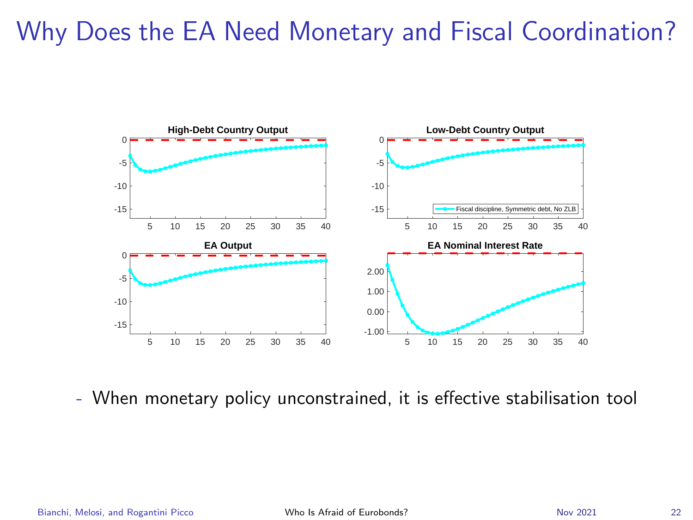

- When monetary policy unconstrained, it is effective stabilisation tool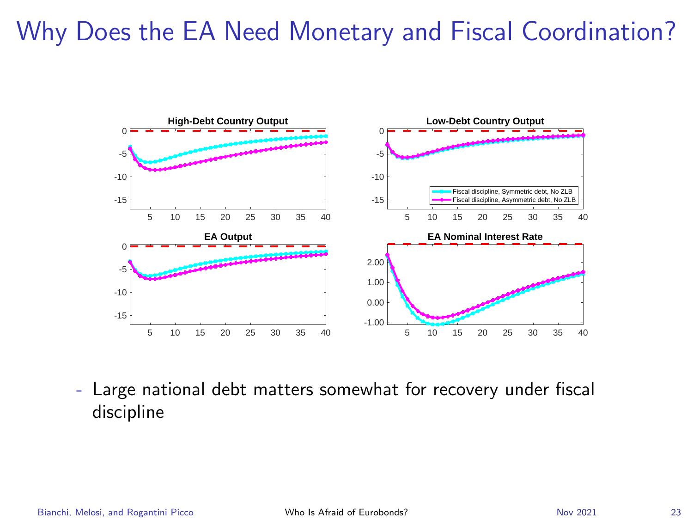

- Large national debt matters somewhat for recovery under fiscal discipline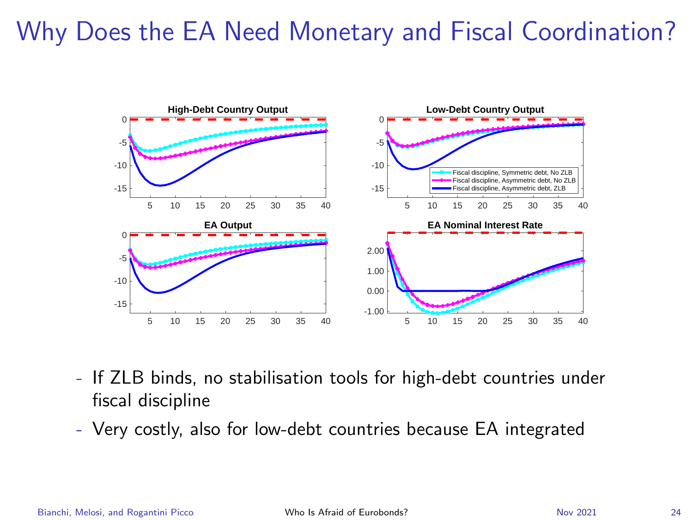

- If ZLB binds, no stabilisation tools for high-debt countries under fiscal discipline
- Very costly, also for low-debt countries because EA integrated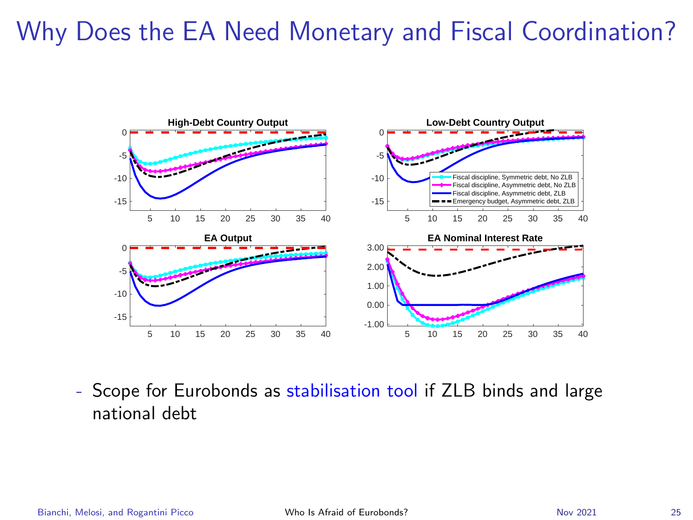

- Scope for Eurobonds as stabilisation tool if ZLB binds and large national debt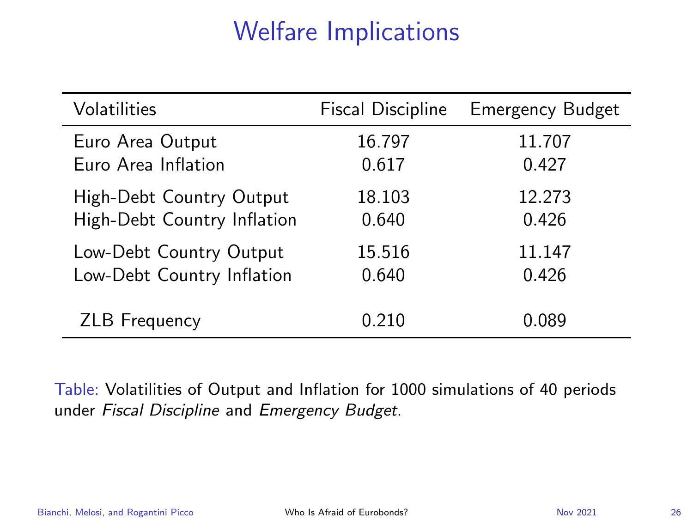# Welfare Implications

| Volatilities                | <b>Fiscal Discipline</b> | <b>Emergency Budget</b> |
|-----------------------------|--------------------------|-------------------------|
| Euro Area Output            | 16.797                   | 11.707                  |
| Euro Area Inflation         | 0.617                    | 0.427                   |
| High-Debt Country Output    | 18.103                   | 12.273                  |
| High-Debt Country Inflation | 0.640                    | 0.426                   |
| Low-Debt Country Output     | 15.516                   | 11.147                  |
| Low-Debt Country Inflation  | 0.640                    | 0.426                   |
| <b>ZLB</b> Frequency        | 0.210                    | 0.089                   |

Table: Volatilities of Output and Inflation for 1000 simulations of 40 periods under Fiscal Discipline and Emergency Budget.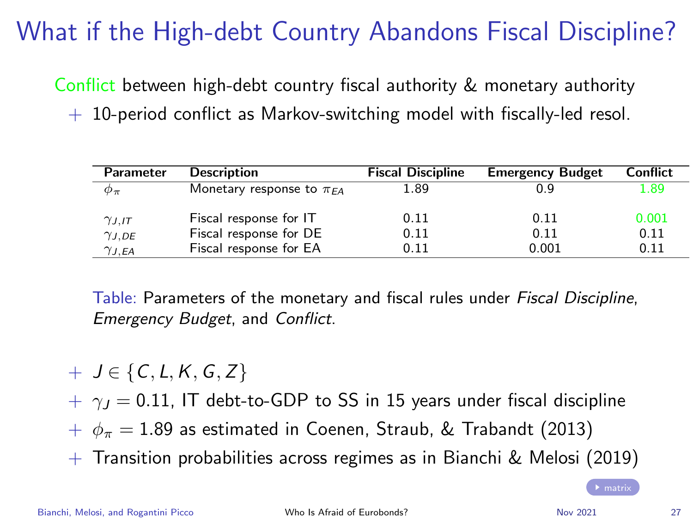# What if the High-debt Country Abandons Fiscal Discipline?

<span id="page-26-0"></span>Conflict between high-debt country fiscal authority & monetary authority

 $+$  10-period conflict as Markov-switching model with fiscally-led resol.

| Parameter       | <b>Description</b>              | <b>Fiscal Discipline</b> | <b>Emergency Budget</b> | Conflict |
|-----------------|---------------------------------|--------------------------|-------------------------|----------|
| $\varphi_{\pi}$ | Monetary response to $\pi_{FA}$ | 1.89                     | 0.9                     | 1.89     |
| $\gamma_{J,IT}$ | Fiscal response for IT          | 0.11                     | 0.11                    | 0.001    |
| $\gamma_{J,DE}$ | Fiscal response for DE          | 0.11                     | 0.11                    | 0.11     |
| $\gamma_{J,EA}$ | Fiscal response for EA          | 0.11                     | 0.001                   | 0.11     |

Table: Parameters of the monetary and fiscal rules under Fiscal Discipline, Emergency Budget, and Conflict.

 $+$  J  $\in$  {C, L, K, G, Z}

 $+ \gamma_1 = 0.11$ , IT debt-to-GDP to SS in 15 years under fiscal discipline

 $+ \phi_{\pi} = 1.89$  as estimated in Coenen, Straub, & Trabandt (2013)

+ Transition probabilities across regimes as in Bianchi & Melosi (2019)

Bianchi, Melosi, and Rogantini Picco [Who Is Afraid of Eurobonds?](#page-0-0) Nov 2021 27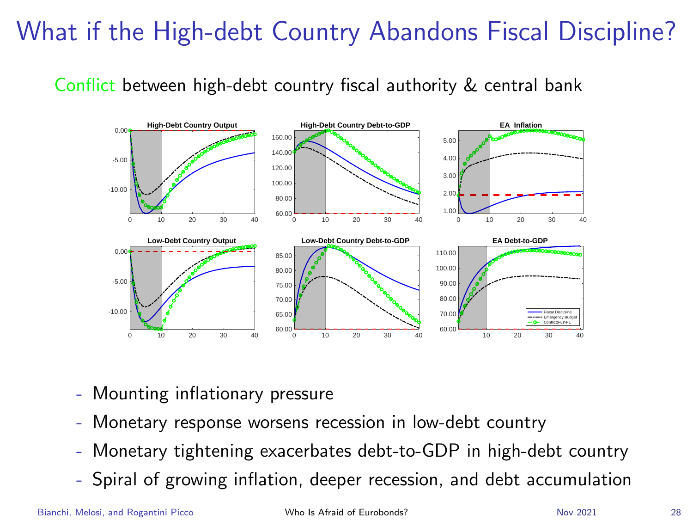# What if the High-debt Country Abandons Fiscal Discipline?

Conflict between high-debt country fiscal authority & central bank



- Mounting inflationary pressure
- Monetary response worsens recession in low-debt country
- Monetary tightening exacerbates debt-to-GDP in high-debt country
- Spiral of growing inflation, deeper recession, and debt accumulation

Bianchi, Melosi, and Rogantini Picco [Who Is Afraid of Eurobonds?](#page-0-0) Nov 2021 28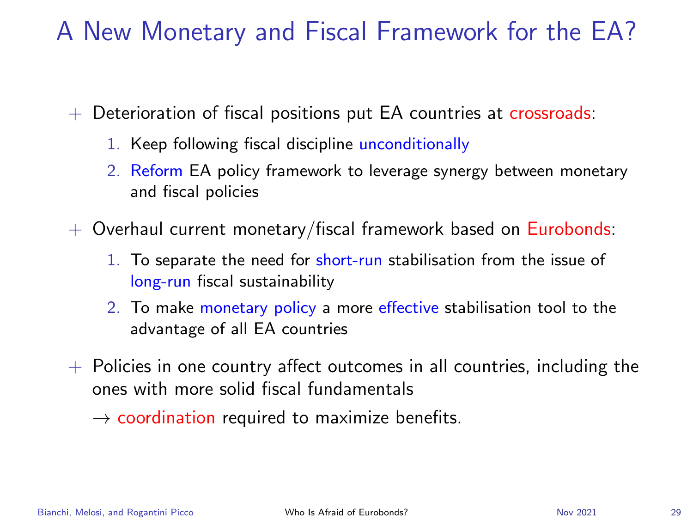# A New Monetary and Fiscal Framework for the EA?

+ Deterioration of fiscal positions put EA countries at crossroads:

- 1. Keep following fiscal discipline unconditionally
- 2. Reform EA policy framework to leverage synergy between monetary and fiscal policies
- $+$  Overhaul current monetary/fiscal framework based on Eurobonds:
	- 1. To separate the need for short-run stabilisation from the issue of long-run fiscal sustainability
	- 2. To make monetary policy a more effective stabilisation tool to the advantage of all EA countries
- $+$  Policies in one country affect outcomes in all countries, including the ones with more solid fiscal fundamentals

 $\rightarrow$  coordination required to maximize benefits.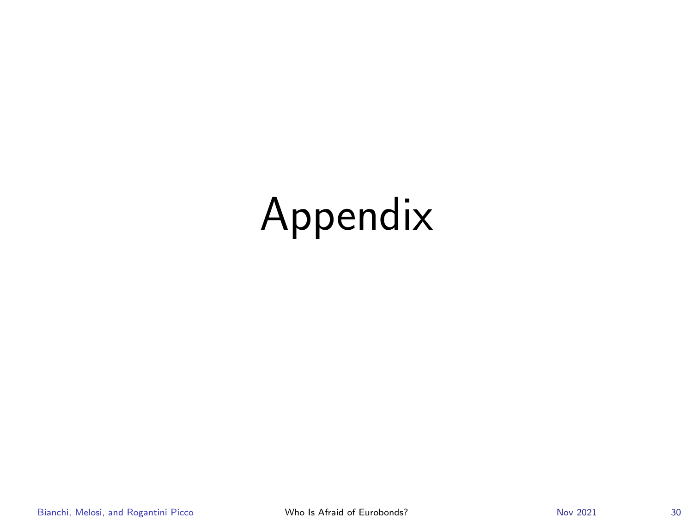# Appendix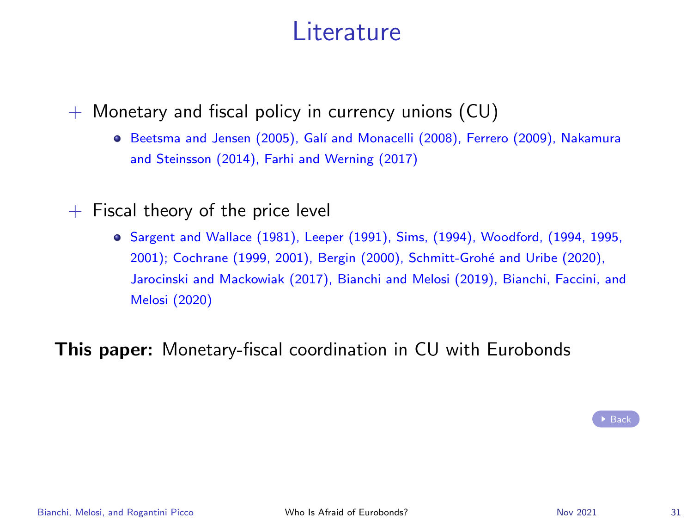#### Literature

<span id="page-30-0"></span> $+$  Monetary and fiscal policy in currency unions (CU)

- **•** Beetsma and Jensen (2005), Galí and Monacelli (2008), Ferrero (2009), Nakamura and Steinsson (2014), Farhi and Werning (2017)
- $+$  Fiscal theory of the price level
	- Sargent and Wallace (1981), Leeper (1991), Sims, (1994), Woodford, (1994, 1995, 2001); Cochrane (1999, 2001), Bergin (2000), Schmitt-Groh´e and Uribe (2020), Jarocinski and Mackowiak (2017), Bianchi and Melosi (2019), Bianchi, Faccini, and Melosi (2020)

This paper: Monetary-fiscal coordination in CU with Eurobonds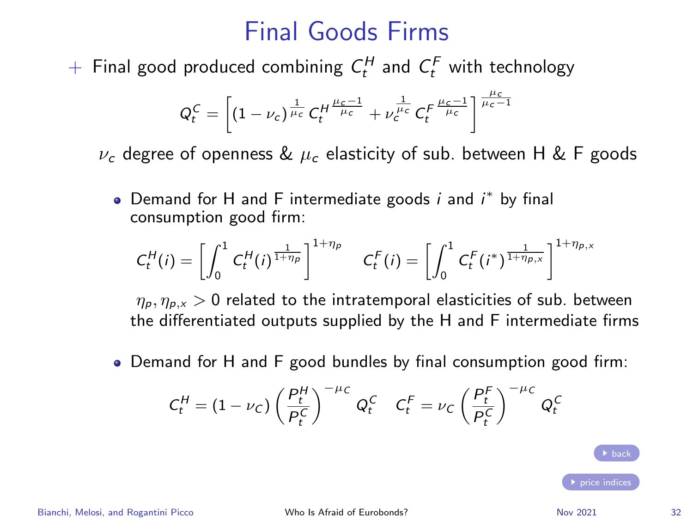## Final Goods Firms

<span id="page-31-0"></span> $+$  Final good produced combining  $C_t^H$  and  $C_t^F$  with technology

$$
Q_t^C = \left[ (1 - \nu_c)^{\frac{1}{\mu_c}} C_t^{H \frac{\mu_c - 1}{\mu_c}} + \nu_c^{\frac{1}{\mu_c}} C_t^{F \frac{\mu_c - 1}{\mu_c}} \right]^{\frac{\mu_c}{\mu_c - 1}}
$$

 $\nu_c$  degree of openness &  $\mu_c$  elasticity of sub. between H & F goods

Demand for H and F intermediate goods  $i$  and  $i^*$  by final consumption good firm:

$$
C_t^H(i) = \left[ \int_0^1 C_t^H(i)^{\frac{1}{1+\eta_p}} \right]^{1+\eta_p} C_t^F(i) = \left[ \int_0^1 C_t^F(i^*)^{\frac{1}{1+\eta_{p,x}}} \right]^{1+\eta_{p,x}}
$$

 $\eta_p, \eta_{p,x} > 0$  related to the intratemporal elasticities of sub. between the differentiated outputs supplied by the H and F intermediate firms

Demand for H and F good bundles by final consumption good firm:

$$
C_t^H = \left(1 - \nu_C\right) \left(\frac{P_t^H}{P_t^C}\right)^{-\mu_C} Q_t^C \quad C_t^F = \nu_C \left(\frac{P_t^F}{P_t^C}\right)^{-\mu_C} Q_t^C
$$

**b** hack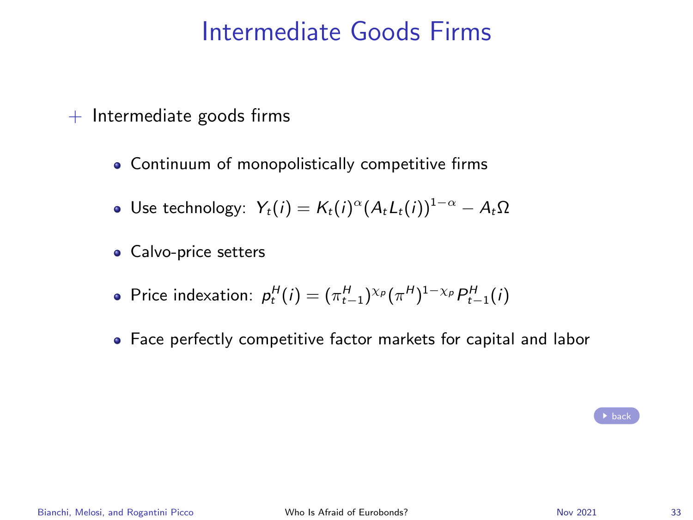### Intermediate Goods Firms

- <span id="page-32-0"></span> $+$  Intermediate goods firms
	- Continuum of monopolistically competitive firms
	- Use technology:  $Y_t(i) = K_t(i)^{\alpha} (A_t L_t(i))^{1-\alpha} A_t \Omega$
	- Calvo-price setters
	- Price indexation:  $p_t^H(i) = (\pi_{t-1}^H)^{\chi_p} (\pi^H)^{1-\chi_p} P_{t-1}^H(i)$
	- Face perfectly competitive factor markets for capital and labor

 $\rightarrow$  [back](#page-7-0)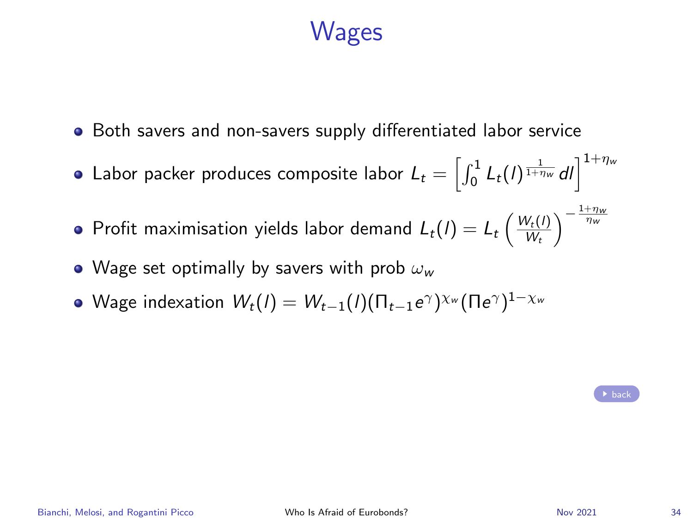## **Wages**

- <span id="page-33-0"></span>• Both savers and non-savers supply differentiated labor service
- Labor packer produces composite labor  $L_t = \left[\int_0^1 L_t(l)^\frac{1}{1+\eta_w} dl \right]^{1+\eta_w}$
- Profit maximisation yields labor demand  $L_t(I) = L_t \left( \frac{W_t(I)}{W_t} \right)$  $\frac{W_t(I)}{W_t}\bigg)^{-\frac{1+\eta_w}{\eta_w}}$
- Wage set optimally by savers with prob  $\omega_w$
- Wage indexation  $\mathcal{W}_{t}(I)=W_{t-1}(I)(\Pi_{t-1}e^\gamma)^{\chi_w}(\Pi e^\gamma)^{1-\chi_w}$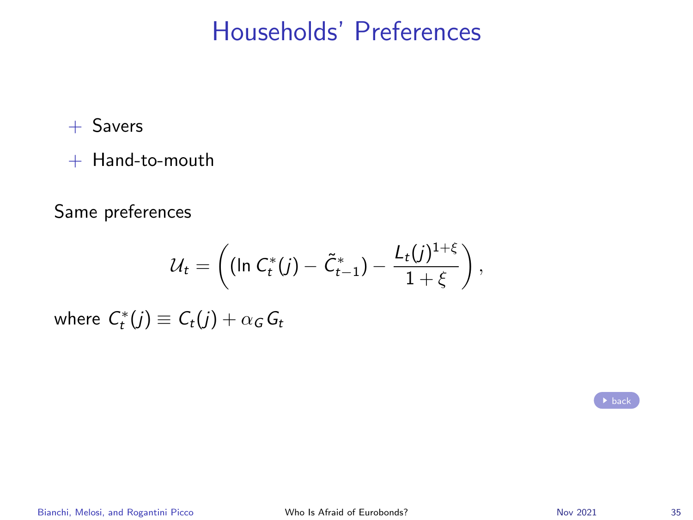### Households' Preferences

<span id="page-34-0"></span> $+$  Savers

+ Hand-to-mouth

Same preferences

$$
\mathcal{U}_t = \left( (\ln C_t^*(j) - \tilde{C}_{t-1}^*) - \frac{L_t(j)^{1+\xi}}{1+\xi} \right),
$$

where  $C_{t}^{\ast}(j)\equiv\mathcal{C}_{t}(j)+\alpha_{\mathcal{G}}\mathcal{G}_{t}$ 

|  | back |
|--|------|
|  |      |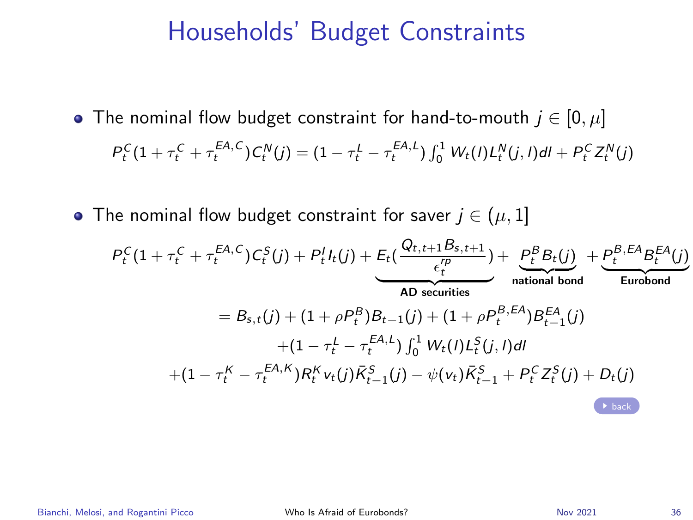#### Households' Budget Constraints

- <span id="page-35-0"></span>• The nominal flow budget constraint for hand-to-mouth  $j \in [0, \mu]$  $P_t^C(1+\tau_t^C+\tau_t^{EA,C})C_t^N(j)=(1-\tau_t^L-\tau_t^{EA,L})\int_0^1 W_t(l)L_t^N(j,l)dl+P_t^C Z_t^N(j)$
- The nominal flow budget constraint for saver  $j \in (\mu, 1]$

$$
P_{t}^{C}(1+\tau_{t}^{C}+\tau_{t}^{EA,C})C_{t}^{S}(j)+P_{t}^{I}I_{t}(j)+\underbrace{E_{t}(\frac{Q_{t,t+1}B_{s,t+1}}{\epsilon_{t}^{P}})}_{\text{AD securities}})+\underbrace{P_{t}^{B}B_{t}(j)}_{\text{rational bond}}+\underbrace{P_{t}^{B,EA}B_{t}^{EA}(j)}_{\text{European}
$$
\n
$$
=B_{s,t}(j)+(1+\rho P_{t}^{B})B_{t-1}(j)+(1+\rho P_{t}^{B,EA})B_{t-1}^{EA}(j)
$$
\n
$$
+(1-\tau_{t}^{L}-\tau_{t}^{EA,K})P_{t}^{EA}(j)\int_{0}^{1}W_{t}(l)L_{t}^{S}(j,l)dl
$$
\n
$$
+(1-\tau_{t}^{K}-\tau_{t}^{EA,K})R_{t}^{K}v_{t}(j)\overline{K}_{t-1}^{S}(j)-\psi(v_{t})\overline{K}_{t-1}^{S}+P_{t}^{C}Z_{t}^{S}(j)+D_{t}(j)
$$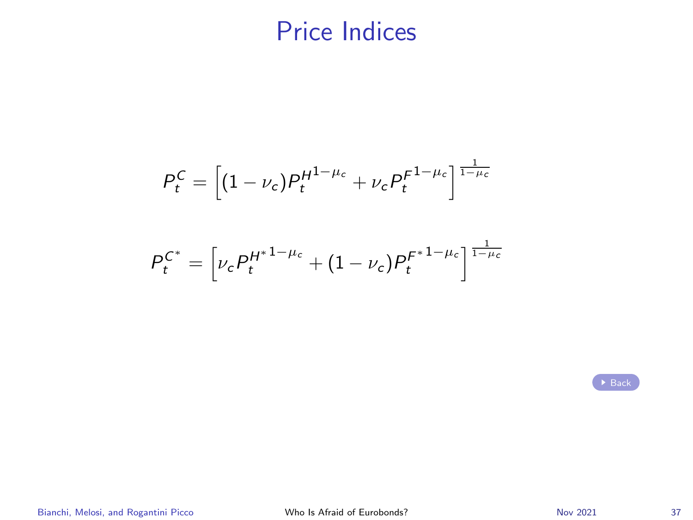## Price Indices

<span id="page-36-0"></span>
$$
P_t^C = \left[ (1 - \nu_c) P_t^{H^{1-\mu_c}} + \nu_c P_t^{F^{1-\mu_c}} \right]^{\frac{1}{1-\mu_c}}
$$

$$
P_t^{C^*} = \left[\nu_c P_t^{H^{*1-\mu_c}} + (1-\nu_c)P_t^{F^{*1-\mu_c}}\right]^{\frac{1}{1-\mu_c}}
$$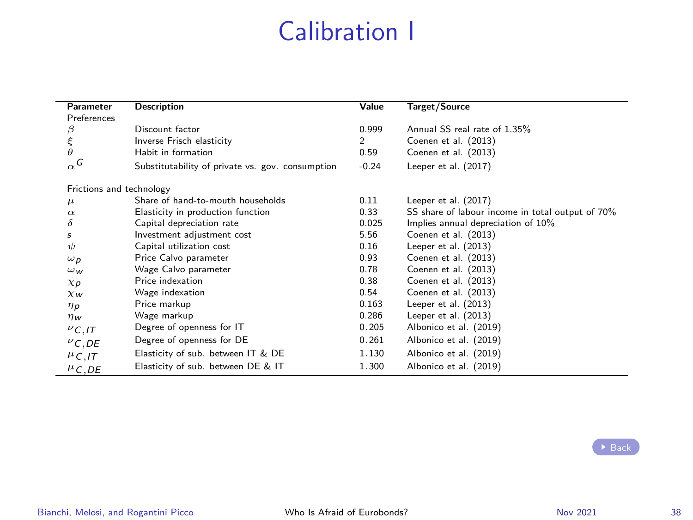# Calibration I

<span id="page-37-0"></span>

| Parameter                        | <b>Description</b>                               | Value          | Target/Source                                    |
|----------------------------------|--------------------------------------------------|----------------|--------------------------------------------------|
| Preferences                      |                                                  |                |                                                  |
|                                  | Discount factor                                  | 0.999          | Annual SS real rate of 1.35%                     |
| $\beta \xi \theta$               | Inverse Frisch elasticity                        | $\overline{2}$ | Coenen et al. (2013)                             |
|                                  | Habit in formation                               | 0.59           | Coenen et al. (2013)                             |
| $\alpha$ <sup>G</sup>            | Substitutability of private vs. gov. consumption | $-0.24$        | Leeper et al. (2017)                             |
| Frictions and technology         |                                                  |                |                                                  |
| $\mu$                            | Share of hand-to-mouth households                | 0.11           | Leeper et al. (2017)                             |
| $\alpha$                         | Elasticity in production function                | 0.33           | SS share of labour income in total output of 70% |
| δ                                | Capital depreciation rate                        | 0.025          | Implies annual depreciation of 10%               |
| s                                | Investment adjustment cost                       | 5.56           | Coenen et al. (2013)                             |
| ψ                                | Capital utilization cost                         | 0.16           | Leeper et al. (2013)                             |
| $\omega_{p}$                     | Price Calvo parameter                            | 0.93           | Coenen et al. (2013)                             |
| $\omega_{w}$                     | Wage Calvo parameter                             | 0.78           | Coenen et al. (2013)                             |
| $\chi_{\boldsymbol{\mathsf{p}}}$ | Price indexation                                 | 0.38           | Coenen et al. (2013)                             |
| XW                               | Wage indexation                                  | 0.54           | Coenen et al. (2013)                             |
| $\eta_{p}$                       | Price markup                                     | 0.163          | Leeper et al. (2013)                             |
| $\eta_W$                         | Wage markup                                      | 0.286          | Leeper et al. (2013)                             |
| $\nu_{C,IT}$                     | Degree of openness for IT                        | 0.205          | Albonico et al. (2019)                           |
| $\nu$ C,DE                       | Degree of openness for DE                        | 0.261          | Albonico et al. (2019)                           |
| $^{\mu}$ C,IT                    | Elasticity of sub. between IT & DE               | 1.130          | Albonico et al. (2019)                           |
| $\mu$ C.DE                       | Elasticity of sub. between DE & IT               | 1.300          | Albonico et al. (2019)                           |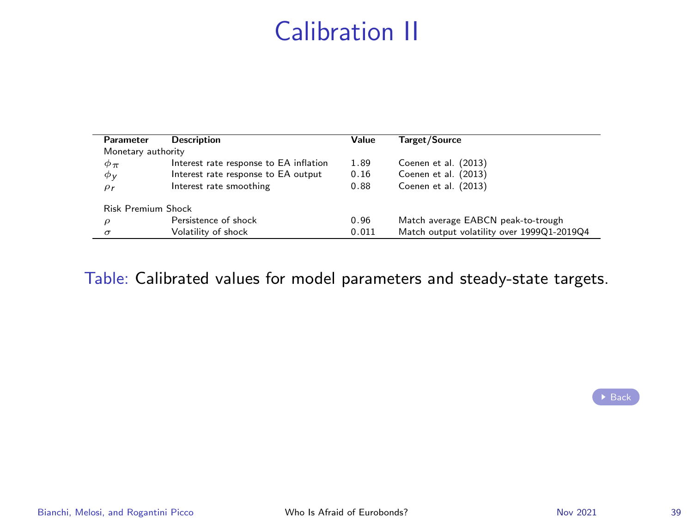# Calibration II

| Parameter                 | <b>Description</b>                     | Value | <b>Target/Source</b>                       |
|---------------------------|----------------------------------------|-------|--------------------------------------------|
| Monetary authority        |                                        |       |                                            |
| $\phi_{\pi}$              | Interest rate response to EA inflation | 1.89  | Coenen et al. (2013)                       |
| $\phi_V$                  | Interest rate response to EA output    | 0.16  | Coenen et al. (2013)                       |
| $\rho_r$                  | Interest rate smoothing                | 0.88  | Coenen et al. (2013)                       |
| <b>Risk Premium Shock</b> |                                        |       |                                            |
| ρ                         | Persistence of shock                   | 0.96  | Match average EABCN peak-to-trough         |
| $\sigma$                  | Volatility of shock                    | 0.011 | Match output volatility over 1999Q1-2019Q4 |

Table: Calibrated values for model parameters and steady-state targets.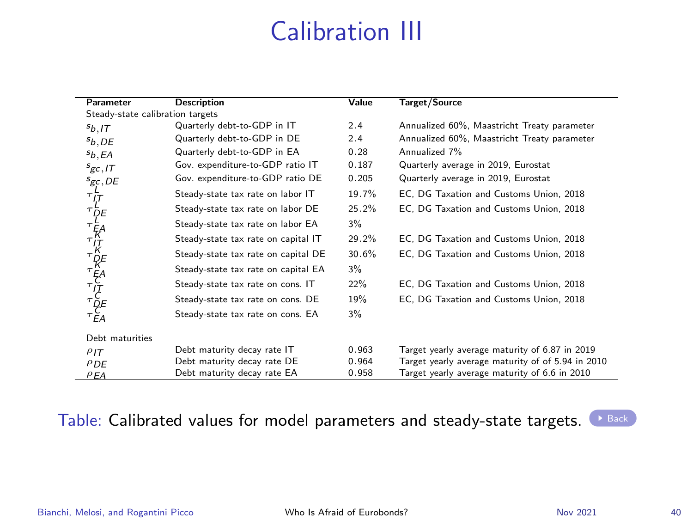# Calibration III

<span id="page-39-0"></span>

| Parameter                        | <b>Description</b>                  | Value | Target/Source                                     |  |  |
|----------------------------------|-------------------------------------|-------|---------------------------------------------------|--|--|
| Steady-state calibration targets |                                     |       |                                                   |  |  |
| $s_{b,IT}$                       | Quarterly debt-to-GDP in IT         | 2.4   | Annualized 60%, Maastricht Treaty parameter       |  |  |
| $s_{b,DE}$                       | Quarterly debt-to-GDP in DE         | 2.4   | Annualized 60%, Maastricht Treaty parameter       |  |  |
| $s_{b,EA}$                       | Quarterly debt-to-GDP in EA         | 0.28  | Annualized 7%                                     |  |  |
| $s_{gc,IT}$                      | Gov. expenditure-to-GDP ratio IT    | 0.187 | Quarterly average in 2019, Eurostat               |  |  |
| $s_{gc,DE}$                      | Gov. expenditure-to-GDP ratio DE    | 0.205 | Quarterly average in 2019, Eurostat               |  |  |
|                                  | Steady-state tax rate on labor IT   | 19.7% | EC, DG Taxation and Customs Union, 2018           |  |  |
|                                  | Steady-state tax rate on labor DE   | 25.2% | EC, DG Taxation and Customs Union, 2018           |  |  |
|                                  | Steady-state tax rate on labor EA   | 3%    |                                                   |  |  |
|                                  | Steady-state tax rate on capital IT | 29.2% | EC, DG Taxation and Customs Union, 2018           |  |  |
|                                  | Steady-state tax rate on capital DE | 30.6% | EC, DG Taxation and Customs Union, 2018           |  |  |
|                                  | Steady-state tax rate on capital EA | 3%    |                                                   |  |  |
|                                  | Steady-state tax rate on cons. IT   | 22%   | EC, DG Taxation and Customs Union, 2018           |  |  |
|                                  | Steady-state tax rate on cons. DE   | 19%   | EC, DG Taxation and Customs Union, 2018           |  |  |
|                                  | Steady-state tax rate on cons. EA   | 3%    |                                                   |  |  |
| Debt maturities                  |                                     |       |                                                   |  |  |
| PIT                              | Debt maturity decay rate IT         | 0.963 | Target yearly average maturity of 6.87 in 2019    |  |  |
| PDE                              | Debt maturity decay rate DE         | 0.964 | Target yearly average maturity of of 5.94 in 2010 |  |  |
| PEA                              | Debt maturity decay rate EA         | 0.958 | Target yearly average maturity of 6.6 in 2010     |  |  |

#### Table: Calibrated values for model parameters and steady-state targets.  $\blacktriangleright$  [Back](#page-15-0)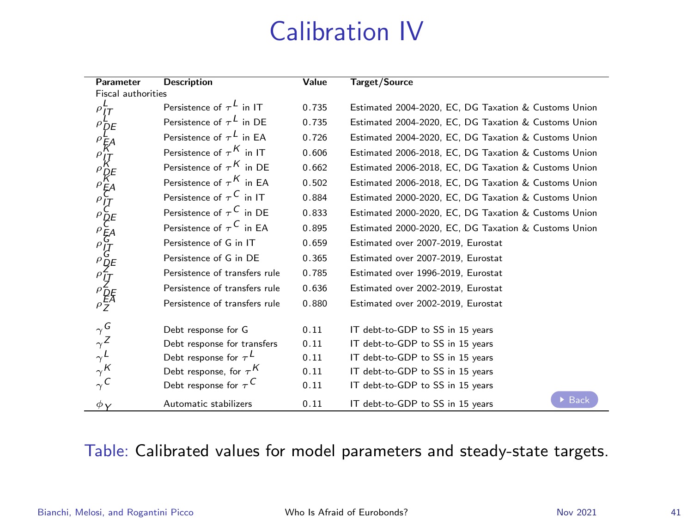# Calibration IV

| Parameter                                                                     | <b>Description</b>                       | Value | <b>Target/Source</b>                                      |  |  |
|-------------------------------------------------------------------------------|------------------------------------------|-------|-----------------------------------------------------------|--|--|
| <b>Fiscal authorities</b>                                                     |                                          |       |                                                           |  |  |
|                                                                               | Persistence of $\tau^L$ in IT            | 0.735 | Estimated 2004-2020, EC, DG Taxation & Customs Union      |  |  |
|                                                                               | Persistence of $\tau^L$ in DE            | 0.735 | Estimated 2004-2020, EC, DG Taxation & Customs Union      |  |  |
|                                                                               | Persistence of $\tau^L$ in EA            | 0.726 | Estimated 2004-2020, EC, DG Taxation & Customs Union      |  |  |
|                                                                               | Persistence of $\tau^K$ in IT            | 0.606 | Estimated 2006-2018. EC. DG Taxation & Customs Union      |  |  |
|                                                                               | Persistence of $\tau^K$ in DE            | 0.662 | Estimated 2006-2018, EC, DG Taxation & Customs Union      |  |  |
|                                                                               | Persistence of $\tau^{K}$ in EA          | 0.502 | Estimated 2006-2018, EC, DG Taxation & Customs Union      |  |  |
|                                                                               | Persistence of $\tau^{\mathsf{C}}$ in IT | 0.884 | Estimated 2000-2020, EC, DG Taxation & Customs Union      |  |  |
|                                                                               | Persistence of $\tau^{\mathsf{C}}$ in DE | 0.833 | Estimated 2000-2020, EC, DG Taxation & Customs Union      |  |  |
|                                                                               | Persistence of $\tau^C$ in EA            | 0.895 | Estimated 2000-2020, EC, DG Taxation & Customs Union      |  |  |
|                                                                               | Persistence of G in IT                   | 0.659 | Estimated over 2007-2019. Eurostat                        |  |  |
|                                                                               | Persistence of G in DE                   | 0.365 | Estimated over 2007-2019. Eurostat                        |  |  |
|                                                                               | Persistence of transfers rule            | 0.785 | Estimated over 1996-2019. Eurostat                        |  |  |
|                                                                               | Persistence of transfers rule            | 0.636 | Estimated over 2002-2019. Eurostat                        |  |  |
| <b>PLANE AREA PROPERTIES</b>                                                  | Persistence of transfers rule            | 0.880 | Estimated over 2002-2019. Eurostat                        |  |  |
|                                                                               |                                          |       |                                                           |  |  |
| $\begin{array}{c}\n\gamma G \\ \gamma Z \\ \gamma L \\ \gamma K\n\end{array}$ | Debt response for G                      | 0.11  | IT debt-to-GDP to SS in 15 years                          |  |  |
|                                                                               | Debt response for transfers              | 0.11  | IT debt-to-GDP to SS in 15 years                          |  |  |
|                                                                               | Debt response for $\tau^L$               | 0.11  | IT debt-to-GDP to SS in 15 years                          |  |  |
|                                                                               | Debt response, for $\tau^{K}$            | 0.11  | IT debt-to-GDP to SS in 15 years                          |  |  |
| $\gamma^C$                                                                    | Debt response for $\tau^C$               | 0.11  | IT debt-to-GDP to SS in 15 years                          |  |  |
| $\phi_Y$                                                                      | Automatic stabilizers                    | 0.11  | $\triangleright$ Back<br>IT debt-to-GDP to SS in 15 years |  |  |

#### Table: Calibrated values for model parameters and steady-state targets.

Bianchi, Melosi, and Rogantini Picco [Who Is Afraid of Eurobonds?](#page-0-0) Nov 2021 41